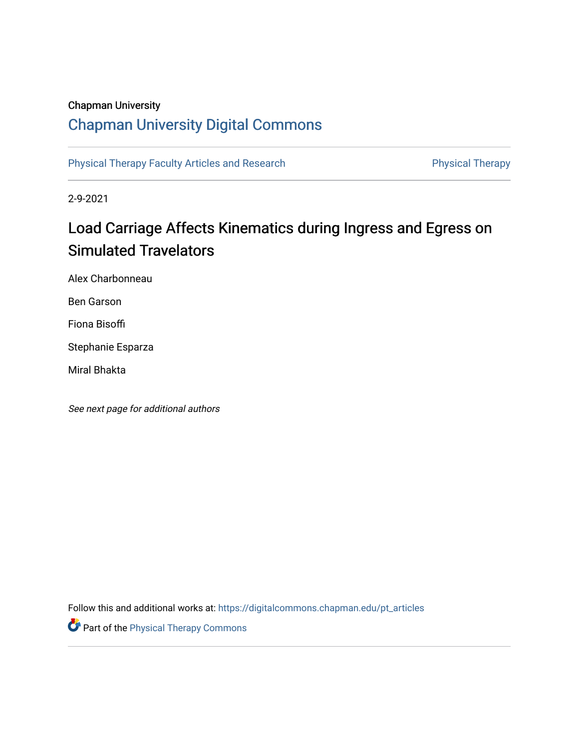# Chapman University

# [Chapman University Digital Commons](https://digitalcommons.chapman.edu/)

[Physical Therapy Faculty Articles and Research](https://digitalcommons.chapman.edu/pt_articles) **Physical Therapy** Physical Therapy

2-9-2021

# Load Carriage Affects Kinematics during Ingress and Egress on **Simulated Travelators**

Alex Charbonneau

Ben Garson

Fiona Bisoffi

Stephanie Esparza

Miral Bhakta

See next page for additional authors

Follow this and additional works at: [https://digitalcommons.chapman.edu/pt\\_articles](https://digitalcommons.chapman.edu/pt_articles?utm_source=digitalcommons.chapman.edu%2Fpt_articles%2F146&utm_medium=PDF&utm_campaign=PDFCoverPages) 

**Part of the [Physical Therapy Commons](http://network.bepress.com/hgg/discipline/754?utm_source=digitalcommons.chapman.edu%2Fpt_articles%2F146&utm_medium=PDF&utm_campaign=PDFCoverPages)**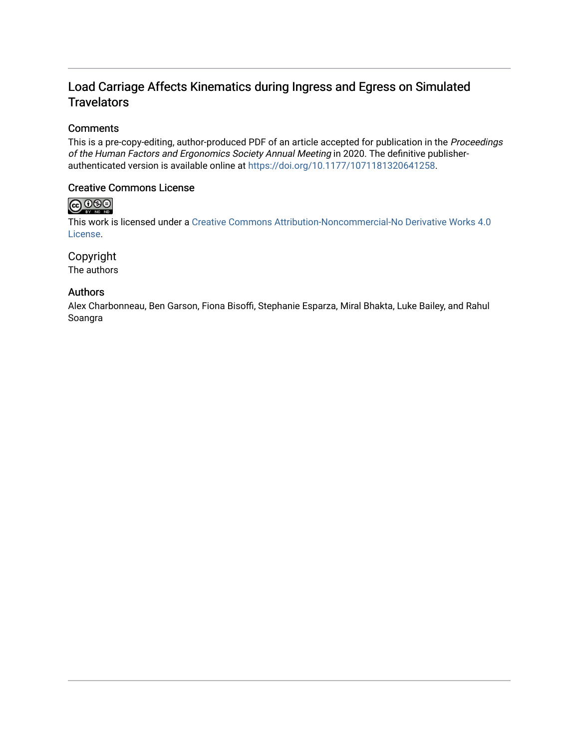# Load Carriage Affects Kinematics during Ingress and Egress on Simulated **Travelators**

## **Comments**

This is a pre-copy-editing, author-produced PDF of an article accepted for publication in the Proceedings of the Human Factors and Ergonomics Society Annual Meeting in 2020. The definitive publisherauthenticated version is available online at <https://doi.org/10.1177/1071181320641258>.

## Creative Commons License

# $\bigoplus_{\text{ev}}\bigoplus_{\text{ev}}\bigoplus_{\text{ve}}$

This work is licensed under a [Creative Commons Attribution-Noncommercial-No Derivative Works 4.0](https://creativecommons.org/licenses/by-nc-nd/4.0/) [License](https://creativecommons.org/licenses/by-nc-nd/4.0/).

## Copyright

The authors

## Authors

Alex Charbonneau, Ben Garson, Fiona Bisoffi, Stephanie Esparza, Miral Bhakta, Luke Bailey, and Rahul Soangra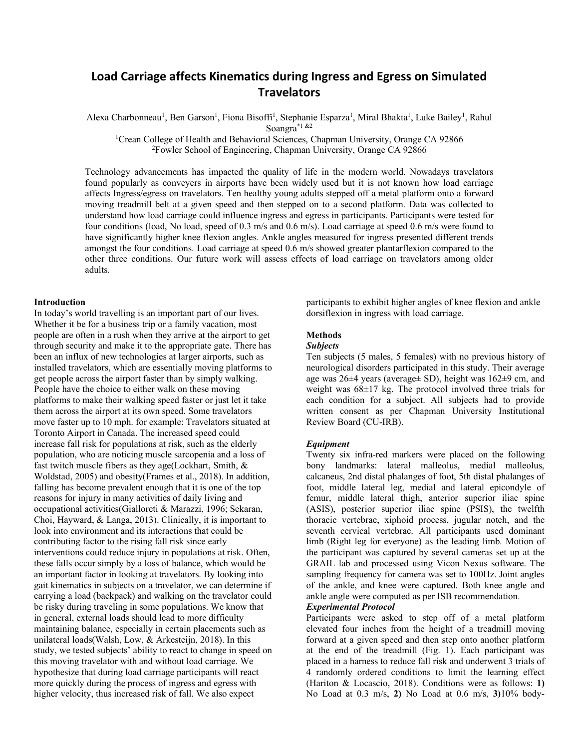# **Load Carriage affects Kinematics during Ingress and Egress on Simulated Travelators**

Alexa Charbonneau<sup>1</sup>, Ben Garson<sup>1</sup>, Fiona Bisoffi<sup>1</sup>, Stephanie Esparza<sup>1</sup>, Miral Bhakta<sup>1</sup>, Luke Bailey<sup>1</sup>, Rahul Soangra\*1 &2

<sup>1</sup>Crean College of Health and Behavioral Sciences, Chapman University, Orange CA 92866 <sup>2</sup>Fowler School of Engineering, Chapman University, Orange CA 92866

Technology advancements has impacted the quality of life in the modern world. Nowadays travelators found popularly as conveyers in airports have been widely used but it is not known how load carriage affects Ingress/egress on travelators. Ten healthy young adults stepped off a metal platform onto a forward moving treadmill belt at a given speed and then stepped on to a second platform. Data was collected to understand how load carriage could influence ingress and egress in participants. Participants were tested for four conditions (load, No load, speed of 0.3 m/s and 0.6 m/s). Load carriage at speed 0.6 m/s were found to have significantly higher knee flexion angles. Ankle angles measured for ingress presented different trends amongst the four conditions. Load carriage at speed 0.6 m/s showed greater plantarflexion compared to the other three conditions. Our future work will assess effects of load carriage on travelators among older adults.

#### **Introduction**

In today's world travelling is an important part of our lives. Whether it be for a business trip or a family vacation, most people are often in a rush when they arrive at the airport to get through security and make it to the appropriate gate. There has been an influx of new technologies at larger airports, such as installed travelators, which are essentially moving platforms to get people across the airport faster than by simply walking. People have the choice to either walk on these moving platforms to make their walking speed faster or just let it take them across the airport at its own speed. Some travelators move faster up to 10 mph. for example: Travelators situated at Toronto Airport in Canada. The increased speed could increase fall risk for populations at risk, such as the elderly population, who are noticing muscle sarcopenia and a loss of fast twitch muscle fibers as they age[\(Lockhart, Smith, &](#page-6-0)  [Woldstad, 2005\)](#page-6-0) and obesity[\(Frames et al., 2018\)](#page-5-0). In addition, falling has become prevalent enough that it is one of the top reasons for injury in many activities of daily living and occupational activities[\(Gialloreti & Marazzi, 1996;](#page-5-1) [Sekaran,](#page-6-1)  [Choi, Hayward, & Langa, 2013\)](#page-6-1). Clinically, it is important to look into environment and its interactions that could be contributing factor to the rising fall risk since early interventions could reduce injury in populations at risk. Often, these falls occur simply by a loss of balance, which would be an important factor in looking at travelators. By looking into gait kinematics in subjects on a travelator, we can determine if carrying a load (backpack) and walking on the travelator could be risky during traveling in some populations. We know that in general, external loads should lead to more difficulty maintaining balance, especially in certain placements such as unilateral loads[\(Walsh, Low, & Arkesteijn, 2018\)](#page-6-2). In this study, we tested subjects' ability to react to change in speed on this moving travelator with and without load carriage. We hypothesize that during load carriage participants will react more quickly during the process of ingress and egress with higher velocity, thus increased risk of fall. We also expect

participants to exhibit higher angles of knee flexion and ankle dorsiflexion in ingress with load carriage.

#### **Methods**

#### *Subjects*

Ten subjects (5 males, 5 females) with no previous history of neurological disorders participated in this study. Their average age was 26±4 years (average± SD), height was 162±9 cm, and weight was  $68\pm17$  kg. The protocol involved three trials for each condition for a subject. All subjects had to provide written consent as per Chapman University Institutional Review Board (CU-IRB).

#### *Equipment*

Twenty six infra-red markers were placed on the following bony landmarks: lateral malleolus, medial malleolus, calcaneus, 2nd distal phalanges of foot, 5th distal phalanges of foot, middle lateral leg, medial and lateral epicondyle of femur, middle lateral thigh, anterior superior iliac spine (ASIS), posterior superior iliac spine (PSIS), the twelfth thoracic vertebrae, xiphoid process, jugular notch, and the seventh cervical vertebrae. All participants used dominant limb (Right leg for everyone) as the leading limb. Motion of the participant was captured by several cameras set up at the GRAIL lab and processed using Vicon Nexus software. The sampling frequency for camera was set to 100Hz. Joint angles of the ankle, and knee were captured. Both knee angle and ankle angle were computed as per ISB recommendation.

#### *Experimental Protocol*

Participants were asked to step off of a metal platform elevated four inches from the height of a treadmill moving forward at a given speed and then step onto another platform at the end of the treadmill (Fig. 1). Each participant was placed in a harness to reduce fall risk and underwent 3 trials of 4 randomly ordered conditions to limit the learning effect [\(Hariton & Locascio, 2018\)](#page-5-2). Conditions were as follows: **1)** No Load at 0.3 m/s, **2)** No Load at 0.6 m/s, **3)**10% body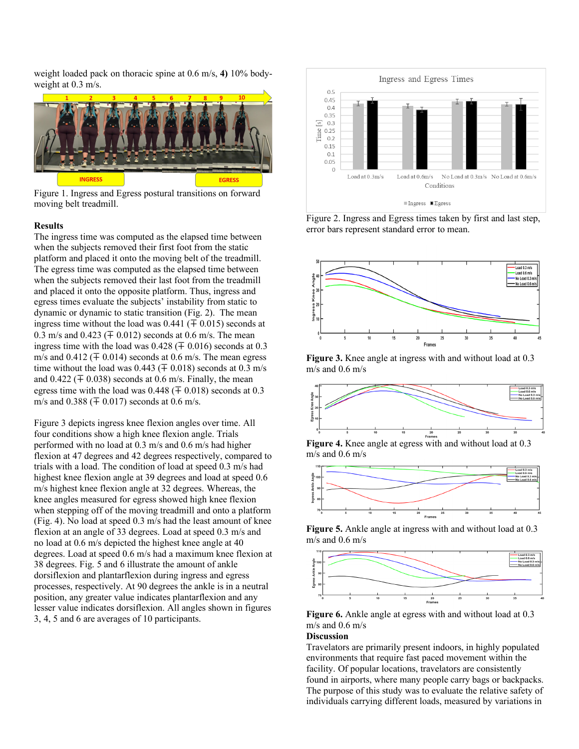weight loaded pack on thoracic spine at 0.6 m/s, **4)** 10% bodyweight at 0.3 m/s.



Figure 1. Ingress and Egress postural transitions on forward moving belt treadmill.

#### **Results**

The ingress time was computed as the elapsed time between when the subjects removed their first foot from the static platform and placed it onto the moving belt of the treadmill. The egress time was computed as the elapsed time between when the subjects removed their last foot from the treadmill and placed it onto the opposite platform. Thus, ingress and egress times evaluate the subjects' instability from static to dynamic or dynamic to static transition (Fig. 2). The mean ingress time without the load was  $0.441 \, (\mp 0.015)$  seconds at 0.3 m/s and 0.423 ( $\pm$  0.012) seconds at 0.6 m/s. The mean ingress time with the load was  $0.428 \ (\pm 0.016)$  seconds at  $0.3$ m/s and  $0.412 \ (\pm 0.014)$  seconds at 0.6 m/s. The mean egress time without the load was  $0.443$  ( $\mp$  0.018) seconds at 0.3 m/s and 0.422 ( $\mp$  0.038) seconds at 0.6 m/s. Finally, the mean egress time with the load was  $0.448 \, (\mp 0.018)$  seconds at  $0.3$ m/s and  $0.388$  ( $\pm 0.017$ ) seconds at 0.6 m/s.

Figure 3 depicts ingress knee flexion angles over time. All four conditions show a high knee flexion angle. Trials performed with no load at 0.3 m/s and 0.6 m/s had higher flexion at 47 degrees and 42 degrees respectively, compared to trials with a load. The condition of load at speed 0.3 m/s had highest knee flexion angle at 39 degrees and load at speed 0.6 m/s highest knee flexion angle at 32 degrees. Whereas, the knee angles measured for egress showed high knee flexion when stepping off of the moving treadmill and onto a platform (Fig. 4). No load at speed 0.3 m/s had the least amount of knee flexion at an angle of 33 degrees. Load at speed 0.3 m/s and no load at 0.6 m/s depicted the highest knee angle at 40 degrees. Load at speed 0.6 m/s had a maximum knee flexion at 38 degrees. Fig. 5 and 6 illustrate the amount of ankle dorsiflexion and plantarflexion during ingress and egress processes, respectively. At 90 degrees the ankle is in a neutral position, any greater value indicates plantarflexion and any lesser value indicates dorsiflexion. All angles shown in figures 3, 4, 5 and 6 are averages of 10 participants.



Figure 2. Ingress and Egress times taken by first and last step, error bars represent standard error to mean.



**Figure 3.** Knee angle at ingress with and without load at 0.3 m/s and 0.6 m/s



**Figure 4.** Knee angle at egress with and without load at 0.3 m/s and 0.6 m/s



**Figure 5.** Ankle angle at ingress with and without load at 0.3 m/s and 0.6 m/s



**Figure 6.** Ankle angle at egress with and without load at 0.3 m/s and 0.6 m/s

#### **Discussion**

Travelators are primarily present indoors, in highly populated environments that require fast paced movement within the facility. Of popular locations, travelators are consistently found in airports, where many people carry bags or backpacks. The purpose of this study was to evaluate the relative safety of individuals carrying different loads, measured by variations in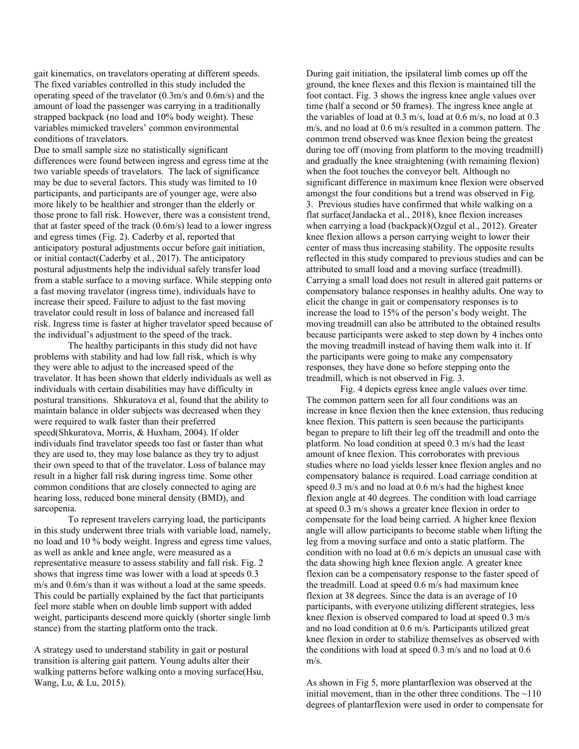gait kinematics, on travelators operating at different speeds. The fixed variables controlled in this study included the operating speed of the travelator (0.3m/s and 0.6m/s) and the amount of load the passenger was carrying in a traditionally strapped backpack (no load and 10% body weight). These variables mimicked travelers' common environmental conditions of travelators.

Due to small sample size no statistically significant differences were found between ingress and egress time at the two variable speeds of travelators. The lack of significance may be due to several factors. This study was limited to 10 participants, and participants are of younger age, were also more likely to be healthier and stronger than the elderly or those prone to fall risk. However, there was a consistent trend, that at faster speed of the track (0.6m/s) lead to a lower ingress and egress times (Fig. 2). Caderby et al, reported that anticipatory postural adjustments occur before gait initiation, or initial contact[\(Caderby et al., 2017\)](#page-5-3). The anticipatory postural adjustments help the individual safely transfer load from a stable surface to a moving surface. While stepping onto a fast moving travelator (ingress time), individuals have to increase their speed. Failure to adjust to the fast moving travelator could result in loss of balance and increased fall risk. Ingress time is faster at higher travelator speed because of the individual's adjustment to the speed of the track.

The healthy participants in this study did not have problems with stability and had low fall risk, which is why they were able to adjust to the increased speed of the travelator. It has been shown that elderly individuals as well as individuals with certain disabilities may have difficulty in postural transitions. Shkuratova et al, found that the ability to maintain balance in older subjects was decreased when they were required to walk faster than their preferred speed[\(Shkuratova, Morris, & Huxham, 2004\)](#page-6-3). If older individuals find travelator speeds too fast or faster than what they are used to, they may lose balance as they try to adjust their own speed to that of the travelator. Loss of balance may result in a higher fall risk during ingress time. Some other common conditions that are closely connected to aging are hearing loss, reduced bone mineral density (BMD), and sarcopenia.

To represent travelers carrying load, the participants in this study underwent three trials with variable load, namely, no load and 10 % body weight. Ingress and egress time values, as well as ankle and knee angle, were measured as a representative measure to assess stability and fall risk. Fig. 2 shows that ingress time was lower with a load at speeds 0.3 m/s and 0.6m/s than it was without a load at the same speeds. This could be partially explained by the fact that participants feel more stable when on double limb support with added weight, participants descend more quickly (shorter single limb stance) from the starting platform onto the track.

A strategy used to understand stability in gait or postural transition is altering gait pattern. Young adults alter their walking patterns before walking onto a moving surface[\(Hsu,](#page-5-4)  [Wang, Lu, & Lu, 2015\)](#page-5-4).

During gait initiation, the ipsilateral limb comes up off the ground, the knee flexes and this flexion is maintained till the foot contact. Fig. 3 shows the ingress knee angle values over time (half a second or 50 frames). The ingress knee angle at the variables of load at 0.3 m/s, load at 0.6 m/s, no load at 0.3 m/s, and no load at 0.6 m/s resulted in a common pattern. The common trend observed was knee flexion being the greatest during toe off (moving from platform to the moving treadmill) and gradually the knee straightening (with remaining flexion) when the foot touches the conveyor belt. Although no significant difference in maximum knee flexion were observed amongst the four conditions but a trend was observed in Fig. 3. Previous studies have confirmed that while walking on a flat surface[\(Jandacka et al., 2018\)](#page-5-5), knee flexion increases when carrying a load (backpack)[\(Ozgul et al., 2012\)](#page-6-4). Greater knee flexion allows a person carrying weight to lower their center of mass thus increasing stability. The opposite results reflected in this study compared to previous studies and can be attributed to small load and a moving surface (treadmill). Carrying a small load does not result in altered gait patterns or compensatory balance responses in healthy adults. One way to elicit the change in gait or compensatory responses is to increase the load to 15% of the person's body weight. The moving treadmill can also be attributed to the obtained results because participants were asked to step down by 4 inches onto the moving treadmill instead of having them walk into it. If the participants were going to make any compensatory responses, they have done so before stepping onto the treadmill, which is not observed in Fig. 3.

Fig. 4 depicts egress knee angle values over time. The common pattern seen for all four conditions was an increase in knee flexion then the knee extension, thus reducing knee flexion. This pattern is seen because the participants began to prepare to lift their leg off the treadmill and onto the platform. No load condition at speed 0.3 m/s had the least amount of knee flexion. This corroborates with previous studies where no load yields lesser knee flexion angles and no compensatory balance is required. Load carriage condition at speed 0.3 m/s and no load at 0.6 m/s had the highest knee flexion angle at 40 degrees. The condition with load carriage at speed 0.3 m/s shows a greater knee flexion in order to compensate for the load being carried. A higher knee flexion angle will allow participants to become stable when lifting the leg from a moving surface and onto a static platform. The condition with no load at 0.6 m/s depicts an unusual case with the data showing high knee flexion angle. A greater knee flexion can be a compensatory response to the faster speed of the treadmill. Load at speed 0.6 m/s had maximum knee flexion at 38 degrees. Since the data is an average of 10 participants, with everyone utilizing different strategies, less knee flexion is observed compared to load at speed 0.3 m/s and no load condition at 0.6 m/s. Participants utilized great knee flexion in order to stabilize themselves as observed with the conditions with load at speed 0.3 m/s and no load at 0.6 m/s.

As shown in Fig 5, more plantarflexion was observed at the initial movement, than in the other three conditions. The  $\sim$ 110 degrees of plantarflexion were used in order to compensate for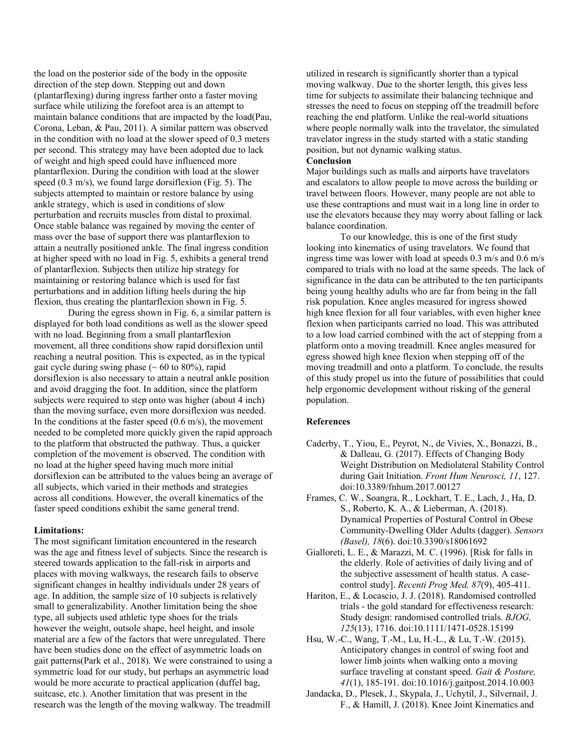the load on the posterior side of the body in the opposite direction of the step down. Stepping out and down (plantarflexing) during ingress farther onto a faster moving surface while utilizing the forefoot area is an attempt to maintain balance conditions that are impacted by the load[\(Pau,](#page-6-5)  [Corona, Leban, & Pau, 2011\)](#page-6-5). A similar pattern was observed in the condition with no load at the slower speed of 0.3 meters per second. This strategy may have been adopted due to lack of weight and high speed could have influenced more plantarflexion. During the condition with load at the slower speed (0.3 m/s), we found large dorsiflexion (Fig. 5). The subjects attempted to maintain or restore balance by using ankle strategy, which is used in conditions of slow perturbation and recruits muscles from distal to proximal. Once stable balance was regained by moving the center of mass over the base of support there was plantarflexion to attain a neutrally positioned ankle. The final ingress condition at higher speed with no load in Fig. 5, exhibits a general trend of plantarflexion. Subjects then utilize hip strategy for maintaining or restoring balance which is used for fast perturbations and in addition lifting heels during the hip flexion, thus creating the plantarflexion shown in Fig. 5.

During the egress shown in Fig. 6, a similar pattern is displayed for both load conditions as well as the slower speed with no load. Beginning from a small plantarflexion movement, all three conditions show rapid dorsiflexion until reaching a neutral position. This is expected, as in the typical gait cycle during swing phase  $(~60)$  to 80%), rapid dorsiflexion is also necessary to attain a neutral ankle position and avoid dragging the foot. In addition, since the platform subjects were required to step onto was higher (about 4 inch) than the moving surface, even more dorsiflexion was needed. In the conditions at the faster speed  $(0.6 \text{ m/s})$ , the movement needed to be completed more quickly given the rapid approach to the platform that obstructed the pathway. Thus, a quicker completion of the movement is observed. The condition with no load at the higher speed having much more initial dorsiflexion can be attributed to the values being an average of all subjects, which varied in their methods and strategies across all conditions. However, the overall kinematics of the faster speed conditions exhibit the same general trend.

#### **Limitations:**

The most significant limitation encountered in the research was the age and fitness level of subjects. Since the research is steered towards application to the fall-risk in airports and places with moving walkways, the research fails to observe significant changes in healthy individuals under 28 years of age. In addition, the sample size of 10 subjects is relatively small to generalizability. Another limitation being the shoe type, all subjects used athletic type shoes for the trials however the weight, outsole shape, heel height, and insole material are a few of the factors that were unregulated. There have been studies done on the effect of asymmetric loads on gait patterns[\(Park et al., 2018\)](#page-6-6). We were constrained to using a symmetric load for our study, but perhaps an asymmetric load would be more accurate to practical application (duffel bag, suitcase, etc.). Another limitation that was present in the research was the length of the moving walkway. The treadmill

utilized in research is significantly shorter than a typical moving walkway. Due to the shorter length, this gives less time for subjects to assimilate their balancing technique and stresses the need to focus on stepping off the treadmill before reaching the end platform. Unlike the real-world situations where people normally walk into the travelator, the simulated travelator ingress in the study started with a static standing position, but not dynamic walking status.

#### **Conclusion**

Major buildings such as malls and airports have travelators and escalators to allow people to move across the building or travel between floors. However, many people are not able to use these contraptions and must wait in a long line in order to use the elevators because they may worry about falling or lack balance coordination.

To our knowledge, this is one of the first study looking into kinematics of using travelators. We found that ingress time was lower with load at speeds 0.3 m/s and 0.6 m/s compared to trials with no load at the same speeds. The lack of significance in the data can be attributed to the ten participants being young healthy adults who are far from being in the fall risk population. Knee angles measured for ingress showed high knee flexion for all four variables, with even higher knee flexion when participants carried no load. This was attributed to a low load carried combined with the act of stepping from a platform onto a moving treadmill. Knee angles measured for egress showed high knee flexion when stepping off of the moving treadmill and onto a platform. To conclude, the results of this study propel us into the future of possibilities that could help ergonomic development without risking of the general population.

#### **References**

- <span id="page-5-3"></span>Caderby, T., Yiou, E., Peyrot, N., de Vivies, X., Bonazzi, B., & Dalleau, G. (2017). Effects of Changing Body Weight Distribution on Mediolateral Stability Control during Gait Initiation. *Front Hum Neurosci, 11*, 127. doi:10.3389/fnhum.2017.00127
- <span id="page-5-0"></span>Frames, C. W., Soangra, R., Lockhart, T. E., Lach, J., Ha, D. S., Roberto, K. A., & Lieberman, A. (2018). Dynamical Properties of Postural Control in Obese Community-Dwelling Older Adults (dagger). *Sensors (Basel), 18*(6). doi:10.3390/s18061692
- <span id="page-5-1"></span>Gialloreti, L. E., & Marazzi, M. C. (1996). [Risk for falls in the elderly. Role of activities of daily living and of the subjective assessment of health status. A casecontrol study]. *Recenti Prog Med, 87*(9), 405-411.
- <span id="page-5-2"></span>Hariton, E., & Locascio, J. J. (2018). Randomised controlled trials - the gold standard for effectiveness research: Study design: randomised controlled trials. *BJOG, 125*(13), 1716. doi:10.1111/1471-0528.15199
- <span id="page-5-4"></span>Hsu, W.-C., Wang, T.-M., Lu, H.-L., & Lu, T.-W. (2015). Anticipatory changes in control of swing foot and lower limb joints when walking onto a moving surface traveling at constant speed. *Gait & Posture, 41*(1), 185-191. doi:10.1016/j.gaitpost.2014.10.003
- <span id="page-5-5"></span>Jandacka, D., Plesek, J., Skypala, J., Uchytil, J., Silvernail, J. F., & Hamill, J. (2018). Knee Joint Kinematics and